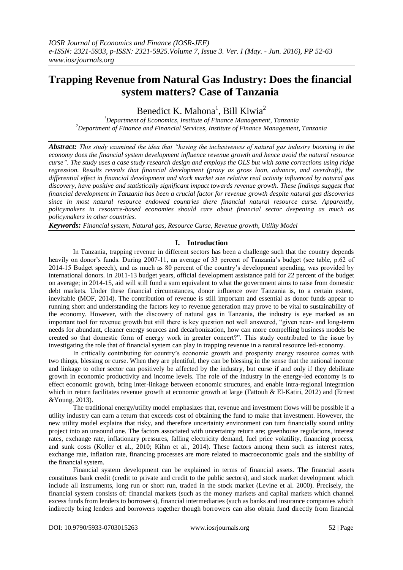# **Trapping Revenue from Natural Gas Industry: Does the financial system matters? Case of Tanzania**

Benedict K. Mahona<sup>1</sup>, Bill Kiwia<sup>2</sup>

*<sup>1</sup>Department of Economics, Institute of Finance Management, Tanzania <sup>2</sup>Department of Finance and Financial Services, Institute of Finance Management, Tanzania*

*Abstract: This study examined the idea that "having the inclusiveness of natural gas industry booming in the economy does the financial system development influence revenue growth and hence avoid the natural resource curse". The study uses a case study research design and employs the OLS but with some corrections using ridge regression. Results reveals that financial development (proxy as gross loan, advance, and overdraft), the differential effect in financial development and stock market size relative real activity influenced by natural gas discovery, have positive and statistically significant impact towards revenue growth. These findings suggest that financial development in Tanzania has been a crucial factor for revenue growth despite natural gas discoveries since in most natural resource endowed countries there financial natural resource curse. Apparently, policymakers in resource-based economies should care about financial sector deepening as much as policymakers in other countries.*

*Keywords: Financial system, Natural gas, Resource Curse, Revenue growth, Utility Model*

### **I. Introduction**

In Tanzania, trapping revenue in different sectors has been a challenge such that the country depends heavily on donor's funds. During 2007-11, an average of 33 percent of Tanzania's budget (see table, p.62 of 2014-15 Budget speech), and as much as 80 percent of the country's development spending, was provided by international donors. In 2011-13 budget years, official development assistance paid for 22 percent of the budget on average; in 2014-15, aid will still fund a sum equivalent to what the government aims to raise from domestic debt markets. Under these financial circumstances, donor influence over Tanzania is, to a certain extent, inevitable (MOF, 2014). The contribution of revenue is still important and essential as donor funds appear to running short and understanding the factors key to revenue generation may prove to be vital to sustainability of the economy. However, with the discovery of natural gas in Tanzania, the industry is eye marked as an important tool for revenue growth but still there is key question not well answered, "given near- and long-term needs for abundant, cleaner energy sources and decarbonization, how can more compelling business models be created so that domestic form of energy work in greater concert?". This study contributed to the issue by investigating the role that of financial system can play in trapping revenue in a natural resource led-economy.

In critically contributing for country's economic growth and prosperity energy resource comes with two things, blessing or curse. When they are plentiful, they can be blessing in the sense that the national income and linkage to other sector can positively be affected by the industry, but curse if and only if they debilitate growth in economic productivity and income levels. The role of the industry in the energy-led economy is to effect economic growth, bring inter-linkage between economic structures, and enable intra-regional integration which in return facilitates revenue growth at economic growth at large (Fattouh & El-Katiri, 2012) and (Ernest &Young, 2013).

The traditional energy/utility model emphasizes that, revenue and investment flows will be possible if a utility industry can earn a return that exceeds cost of obtaining the fund to make that investment. However, the new utility model explains that risky, and therefore uncertainty environment can turn financially sound utility project into an unsound one. The factors associated with uncertainty return are; greenhouse regulations, interest rates, exchange rate, inflationary pressures, falling electricity demand, fuel price volatility, financing process, and sunk costs (Koller et al., 2010; Kihm et al., 2014). These factors among them such as interest rates, exchange rate, inflation rate, financing processes are more related to macroeconomic goals and the stability of the financial system.

Financial system development can be explained in terms of financial assets. The financial assets constitutes bank credit (credit to private and credit to the public sectors), and stock market development which include all instruments, long run or short run, traded in the stock market (Levine et al. 2000). Precisely, the financial system consists of: financial markets (such as the money markets and capital markets which channel excess funds from lenders to borrowers), financial intermediaries (such as banks and insurance companies which indirectly bring lenders and borrowers together though borrowers can also obtain fund directly from financial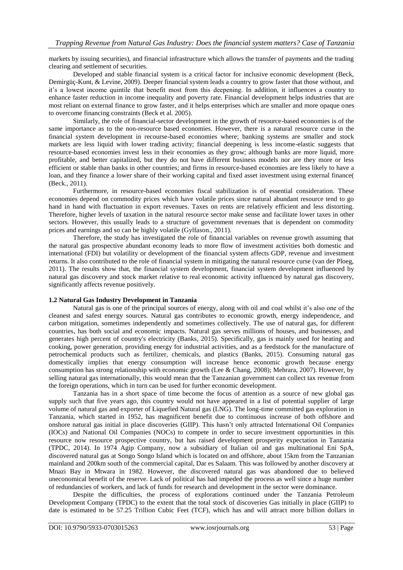markets by issuing securities), and financial infrastructure which allows the transfer of payments and the trading clearing and settlement of securities.

Developed and stable financial system is a critical factor for inclusive economic development (Beck, Demirgüç-Kunt, & Levine, 2009). Deeper financial system leads a country to grow faster that those without, and it's a lowest income quintile that benefit most from this deepening. In addition, it influences a country to enhance faster reduction in income inequality and poverty rate. Financial development helps industries that are most reliant on external finance to grow faster, and it helps enterprises which are smaller and more opaque ones to overcome financing constraints (Beck et al. 2005).

Similarly, the role of financial-sector development in the growth of resource-based economies is of the same importance as to the non-resource based economies. However, there is a natural resource curse in the financial system development in recourse-based economies where; banking systems are smaller and stock markets are less liquid with lower trading activity; financial deepening is less income-elastic suggests that resource-based economies invest less in their economies as they grow; although banks are more liquid, more profitable, and better capitalized, but they do not have different business models nor are they more or less efficient or stable than banks in other countries; and firms in resource-based economies are less likely to have a loan, and they finance a lower share of their working capital and fixed asset investment using external finance( (Beck., 2011).

Furthermore, in resource-based economies fiscal stabilization is of essential consideration. These economies depend on commodity prices which have volatile prices since natural abundant resource tend to go hand in hand with fluctuation in export revenues. Taxes on rents are relatively efficient and less distorting. Therefore, higher levels of taxation in the natural resource sector make sense and facilitate lower taxes in other sectors. However, this usually leads to a structure of government revenues that is dependent on commodity prices and earnings and so can be highly volatile (Gylfason., 2011).

Therefore, the study has investigated the role of financial variables on revenue growth assuming that the natural gas prospective abundant economy leads to more flow of investment activities both domestic and international (FDI) but volatility or development of the financial system affects GDP, revenue and investment returns. It also contributed to the role of financial system in mitigating the natural resource curse (van der Ploeg, 2011). The results show that, the financial system development, financial system development influenced by natural gas discovery and stock market relative to real economic activity influenced by natural gas discovery, significantly affects revenue positively.

## **1.2 Natural Gas Industry Development in Tanzania**

Natural gas is one of the principal sources of energy, along with oil and coal whilst it's also one of the cleanest and safest energy sources. Natural gas contributes to economic growth, energy independence, and carbon mitigation, sometimes independently and sometimes collectively. The use of natural gas, for different countries, has both social and economic impacts. Natural gas serves millions of houses, and businesses, and generates high percent of country's electricity (Banks, 2015). Specifically, gas is mainly used for heating and cooking, power generation, providing energy for industrial activities, and as a feedstock for the manufacture of petrochemical products such as fertilizer, chemicals, and plastics (Banks, 2015). Consuming natural gas domestically implies that energy consumption will increase hence economic growth because energy consumption has strong relationship with economic growth (Lee & Chang, 2008); Mehrara, 2007). However, by selling natural gas internationally, this would mean that the Tanzanian government can collect tax revenue from the foreign operations, which in turn can be used for further economic development.

Tanzania has in a short space of time become the focus of attention as a source of new global gas supply such that five years ago, this country would not have appeared in a list of potential supplier of large volume of natural gas and exporter of Liquefied Natural gas (LNG). The long-time committed gas exploration in Tanzania, which started in 1952, has magnificent benefit due to continuous increase of both offshore and onshore natural gas initial in place discoveries (GIIP). This hasn't only attracted International Oil Companies (IOCs) and National Oil Companies (NOCs) to compete in order to secure investment opportunities in this resource now resource prospective country, but has raised development prosperity expectation in Tanzania (TPDC, 2014). In 1974 Agip Company, now a subsidiary of Italian oil and gas multinational Eni SpA, discovered natural gas at Songo Songo Island which is located on and offshore, about 15km from the Tanzanian mainland and 200km south of the commercial capital, Dar es Salaam. This was followed by another discovery at Mnazi Bay in Mtwara in 1982. However, the discovered natural gas was abandoned due to believed uneconomical benefit of the reserve. Lack of political has had impeded the process as well since a huge number of redundancies of workers, and lack of funds for research and development in the sector were dominance.

Despite the difficulties, the process of explorations continued under the Tanzania Petroleum Development Company (TPDC) to the extent that the total stock of discoveries Gas initially in place (GIIP) to date is estimated to be 57.25 Trillion Cubic Feet (TCF), which has and will attract more billion dollars in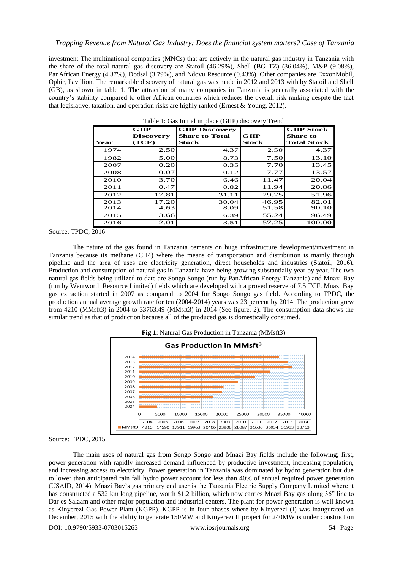investment The multinational companies (MNCs) that are actively in the natural gas industry in Tanzania with the share of the total natural gas discovery are Statoil (46.29%), Shell (BG TZ) (36.04%), M&P (9.08%), PanAfrican Energy (4.37%), Dodsal (3.79%), and Ndovu Resource (0.43%). Other companies are ExxonMobil, Ophir, Pavillion. The remarkable discovery of natural gas was made in 2012 and 2013 with by Statoil and Shell (GB), as shown in table 1. The attraction of many companies in Tanzania is generally associated with the country's stability compared to other African countries which reduces the overall risk ranking despite the fact that legislative, taxation, and operation risks are highly ranked (Ernest & Young, 2012).

|      | $G$ IIIP         | <b>GIIP Discovery</b> |              | <b>GIIP Stock</b>  |
|------|------------------|-----------------------|--------------|--------------------|
|      | <b>Discovery</b> | <b>Share to Total</b> | GIP          | <b>Share to</b>    |
| Year | (TCF)            | Stock                 | <b>Stock</b> | <b>Total Stock</b> |
| 1974 | 2.50             | 4.37                  | 2.50         | 4.37               |
| 1982 | 5.00             | 8.73                  | 7.50         | 13.10              |
| 2007 | 0.20             | 0.35                  | 7.70         | 13.45              |
| 2008 | 0.07             | 0.12                  | 7.77         | 13.57              |
| 2010 | 3.70             | 6.46                  | 11.47        | 20.04              |
| 2011 | 0.47             | 0.82                  | 11.94        | 20.86              |
| 2012 | 17.81            | 31.11                 | 29.75        | 51.96              |
| 2013 | 17.20            | 30.04                 | 46.95        | 82.01              |
| 2014 | 4.63             | 8.09                  | 51.58        | 90.10              |
| 2015 | 3.66             | 6.39                  | 55.24        | 96.49              |
| 2016 | 2.01             | 3.51                  | 57.25        | 100.00             |

Table 1: Gas Initial in place (GIIP) discovery Trend

Source, TPDC, 2016

The nature of the gas found in Tanzania cements on huge infrastructure development/investment in Tanzania because its methane (CH4) where the means of transportation and distribution is mainly through pipeline and the area of uses are electricity generation, direct households and industries (Statoil, 2016). Production and consumption of natural gas in Tanzania have being growing substantially year by year. The two natural gas fields being utilized to date are Songo Songo (run by PanAfrican Energy Tanzania) and Mnazi Bay (run by Wentworth Resource Limited) fields which are developed with a proved reserve of 7.5 TCF. Mnazi Bay gas extraction started in 2007 as compared to 2004 for Songo Songo gas field. According to TPDC, the production annual average growth rate for ten (2004-2014) years was 23 percent by 2014. The production grew from 4210 (MMsft3) in 2004 to 33763.49 (MMsft3) in 2014 (See figure. 2). The consumption data shows the similar trend as that of production because all of the produced gas is domestically consumed.





The main uses of natural gas from Songo Songo and Mnazi Bay fields include the following; first, power generation with rapidly increased demand influenced by productive investment, increasing population, and increasing access to electricity. Power generation in Tanzania was dominated by hydro generation but due to lower than anticipated rain fall hydro power account for less than 40% of annual required power generation (USAID, 2014). Mnazi Bay's gas primary end user is the Tanzania Electric Supply Company Limited where it has constructed a 532 km long pipeline, worth \$1.2 billion, which now carries Mnazi Bay gas along 36" line to Dar es Salaam and other major population and industrial centers. The plant for power generation is well known as Kinyerezi Gas Power Plant (KGPP). KGPP is in four phases where by Kinyerezi (I) was inaugurated on December, 2015 with the ability to generate 150MW and Kinyerezi II project for 240MW is under construction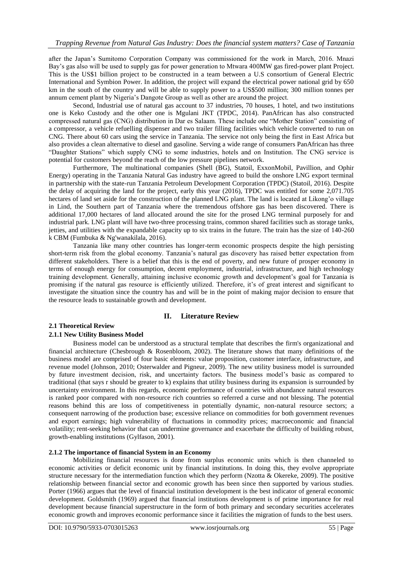after the Japan's Sumitomo Corporation Company was commissioned for the work in March, 2016. Mnazi Bay's gas also will be used to supply gas for power generation to Mtwara 400MW gas fired-power plant Project. This is the US\$1 billion project to be constructed in a team between a U.S consortium of General Electric International and Symbion Power. In addition, the project will expand the electrical power national grid by 650 km in the south of the country and will be able to supply power to a US\$500 million; 300 million tonnes per annum cement plant by Nigeria's Dangote Group as well as other are around the project.

Second, Industrial use of natural gas account to 37 industries, 70 houses, 1 hotel, and two institutions one is Keko Custody and the other one is Mgulani JKT (TPDC, 2014). PanAfrican has also constructed compressed natural gas (CNG) distribution in Dar es Salaam. These include one "Mother Station" consisting of a compressor, a vehicle refuelling dispenser and two trailer filling facilities which vehicle converted to run on CNG. There about 60 cars using the service in Tanzania. The service not only being the first in East Africa but also provides a clean alternative to diesel and gasoline. Serving a wide range of consumers PanAfrican has three "Daughter Stations" which supply CNG to some industries, hotels and on Institution. The CNG service is potential for customers beyond the reach of the low pressure pipelines network.

Furthermore, The multinational companies (Shell (BG), Statoil, ExxonMobil, Pavillion, and Ophir Energy) operating in the Tanzania Natural Gas industry have agreed to build the onshore LNG export terminal in partnership with the state-run Tanzania Petroleum Development Corporation (TPDC) (Statoil, 2016). Despite the delay of acquiring the land for the project, early this year (2016), TPDC was entitled for some 2,071.705 hectares of land set aside for the construction of the planned LNG plant. The land is located at Likong'o village in Lind, the Southern part of Tanzania where the tremendous offshore gas has been discovered. There is additional 17,000 hectares of land allocated around the site for the prosed LNG terminal purposely for and industrial park. LNG plant will have two-three processing trains, common shared facilities such as storage tanks, jetties, and utilities with the expandable capacity up to six trains in the future. The train has the size of 140-260 k CBM (Fumbuka & Ng'wanakilala, 2016).

Tanzania like many other countries has longer-term economic prospects despite the high persisting short-term risk from the global economy. Tanzania's natural gas discovery has raised better expectation from different stakeholders. There is a belief that this is the end of poverty, and new future of prosper economy in terms of enough energy for consumption, decent employment, industrial, infrastructure, and high technology training development. Generally, attaining inclusive economic growth and development's goal for Tanzania is promising if the natural gas resource is efficiently utilized. Therefore, it's of great interest and significant to investigate the situation since the country has and will be in the point of making major decision to ensure that the resource leads to sustainable growth and development.

## **II. Literature Review**

## **2.1 Theoretical Review**

## **2.1.1 New Utility Business Model**

Business model can be understood as a structural template that describes the firm's organizational and financial architecture (Chesbrough & Rosenbloom, 2002). The literature shows that many definitions of the business model are comprised of four basic elements: value proposition, customer interface, infrastructure, and revenue model (Johnson, 2010; Osterwalder and Pigneur, 2009). The new utility business model is surrounded by future investment decision, risk, and uncertainty factors. The business model's basic as compared to traditional (that says r should be greater to k) explains that utility business during its expansion is surrounded by uncertainty environment. In this regards, economic performance of countries with abundance natural resources is ranked poor compared with non-resource rich countries so referred a curse and not blessing. The potential reasons behind this are loss of competitiveness in potentially dynamic, non-natural resource sectors; a consequent narrowing of the production base; excessive reliance on commodities for both government revenues and export earnings; high vulnerability of fluctuations in commodity prices; macroeconomic and financial volatility; rent-seeking behavior that can undermine governance and exacerbate the difficulty of building robust, growth-enabling institutions (Gylfason, 2001).

#### **2.1.2 The importance of financial System in an Economy**

Mobilizing financial resources is done from surplus economic units which is then channeled to economic activities or deficit economic unit by financial institutions. In doing this, they evolve appropriate structure necessary for the intermediation function which they perform (Nzotta & Okereke, 2009). The positive relationship between financial sector and economic growth has been since then supported by various studies. Porter (1966) argues that the level of financial institution development is the best indicator of general economic development. Goldsmith (1969) argued that financial institutions development is of prime importance for real development because financial superstructure in the form of both primary and secondary securities accelerates economic growth and improves economic performance since it facilities the migration of funds to the best users.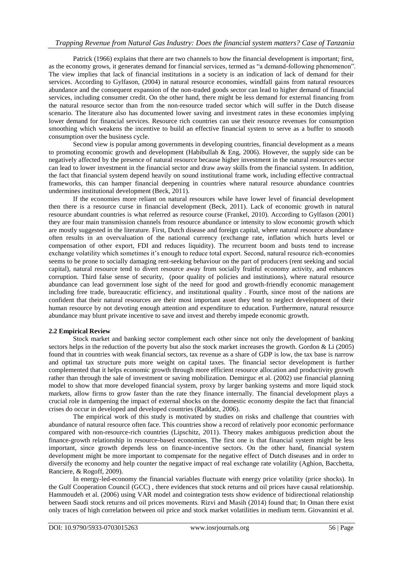# *Trapping Revenue from Natural Gas Industry: Does the financial system matters? Case of Tanzania*

Patrick (1966) explains that there are two channels to how the financial development is important; first, as the economy grows, it generates demand for financial services, termed as "a demand-following phenomenon". The view implies that lack of financial institutions in a society is an indication of lack of demand for their services. According to Gylfason, (2004) in natural resource economies, windfall gains from natural resources abundance and the consequent expansion of the non-traded goods sector can lead to higher demand of financial services, including consumer credit. On the other hand, there might be less demand for external financing from the natural resource sector than from the non-resource traded sector which will suffer in the Dutch disease scenario. The literature also has documented lower saving and investment rates in these economies implying lower demand for financial services. Resource rich countries can use their resource revenues for consumption smoothing which weakens the incentive to build an effective financial system to serve as a buffer to smooth consumption over the business cycle.

Second view is popular among governments in developing countries, financial development as a means to promoting economic growth and development (Habibullah & Eng, 2006). However, the supply side can be negatively affected by the presence of natural resource because higher investment in the natural resources sector can lead to lower investment in the financial sector and draw away skills from the financial system. In addition, the fact that financial system depend heavily on sound institutional frame work, including effective contractual frameworks, this can hamper financial deepening in countries where natural resource abundance countries undermines institutional development (Beck, 2011).

If the economies more reliant on natural resources while have lower level of financial development then there is a resource curse in financial development (Beck, 2011). Lack of economic growth in natural resource abundant countries is what referred as resource course (Frankel, 2010). According to Gylfason (2001) they are four main transmission channels from resource abundance or intensity to slow economic growth which are mostly suggested in the literature. First, Dutch disease and foreign capital, where natural resource abundance often results in an overvaluation of the national currency (exchange rate, inflation which hurts level or compensation of other export, FDI and reduces liquidity). The recurrent boom and busts tend to increase exchange volatility which sometimes it's enough to reduce total export. Second, natural resource rich-economies seems to be prone to socially damaging rent-seeking behaviour on the part of producers (rent seeking and social capital), natural resource tend to divert resource away from socially fruitful economy activity, and enhances corruption. Third false sense of security, (poor quality of policies and institutions), where natural resource abundance can lead government lose sight of the need for good and growth-friendly economic management including free trade, bureaucratic efficiency, and institutional quality . Fourth, since most of the nations are confident that their natural resources are their most important asset they tend to neglect development of their human resource by not devoting enough attention and expenditure to education. Furthermore, natural resource abundance may blunt private incentive to save and invest and thereby impede economic growth.

#### **2.2 Empirical Review**

Stock market and banking sector complement each other since not only the development of banking sectors helps in the reduction of the poverty but also the stock market increases the growth. Gordon & Li (2005) found that in countries with weak financial sectors, tax revenue as a share of GDP is low, the tax base is narrow and optimal tax structure puts more weight on capital taxes. The financial sector development is further complemented that it helps economic growth through more efficient resource allocation and productivity growth rather than through the sale of investment or saving mobilization. Demirguc et al. (2002) use financial planning model to show that more developed financial system, proxy by larger banking systems and more liquid stock markets, allow firms to grow faster than the rate they finance internally. The financial development plays a crucial role in dampening the impact of external shocks on the domestic economy despite the fact that financial crises do occur in developed and developed countries (Raddatz, 2006).

The empirical work of this study is motivated by studies on risks and challenge that countries with abundance of natural resource often face. This countries show a record of relatively poor economic performance compared with non-resource-rich countries (Lipschitz, 2011). Theory makes ambiguous prediction about the finance-growth relationship in resource-based economies. The first one is that financial system might be less important, since growth depends less on finance-incentive sectors. On the other hand, financial system development might be more important to compensate for the negative effect of Dutch diseases and in order to diversify the economy and help counter the negative impact of real exchange rate volatility (Aghion, Bacchetta, Ranciere, & Rogoff, 2009).

In energy-led-economy the financial variables fluctuate with energy price volatility (price shocks). In the Gulf Cooperation Council (GCC) , there evidences that stock returns and oil prices have causal relationship. Hammoudeh et al. (2006) using VAR model and cointegration tests show evidence of bidirectional relationship between Saudi stock returns and oil prices movements. Rizvi and Masih (2014) found that; In Oman there exist only traces of high correlation between oil price and stock market volatilities in medium term. Giovannini et al.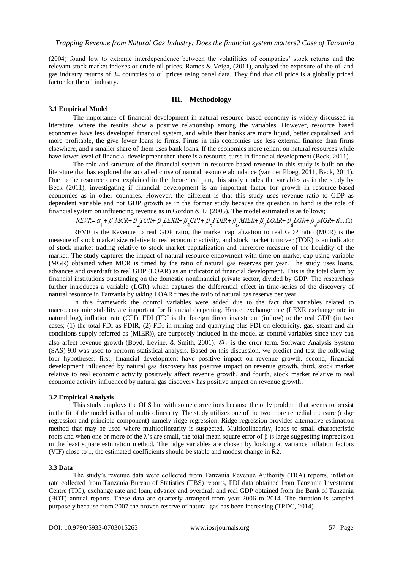(2004) found low to extreme interdependence between the volatilities of companies' stock returns and the relevant stock market indexes or crude oil prices. Ramos & Veiga, (2011), analysed the exposure of the oil and gas industry returns of 34 countries to oil prices using panel data. They find that oil price is a globally priced factor for the oil industry.

### **III. Methodology**

## **3.1 Empirical Model**

The importance of financial development in natural resource based economy is widely discussed in literature, where the results show a positive relationship among the variables. However, resource based economies have less developed financial system, and while their banks are more liquid, better capitalized, and more profitable, the give fewer loans to firms. Firms in this economies use less external finance than firms elsewhere, and a smaller share of them uses bank loans. If the economies more reliant on natural resources while have lower level of financial development then there is a resource curse in financial development (Beck, 2011).

The role and structure of the financial system in resource based revenue in this study is built on the literature that has explored the so called curse of natural resource abundance (van der Ploeg, 2011, Beck, 2011). Due to the resource curse explained in the theoretical part, this study modes the variables as in the study by Beck (2011), investigating if financial development is an important factor for growth in resource-based economies as in other countries. However, the different is that this study uses revenue ratio to GDP as dependent variable and not GDP growth as in the former study because the question in hand is the role of financial system on influencing revenue as in Gordon & Li (2005). The model estimated is as follows;

$$
REVR = \alpha_1 + \beta_1 MCR + \beta_2 TOR + \beta_3 LEXR + \beta_4 CPI + \beta_5 FDIR + \beta_6 MIER + \beta_7 LOAR + \beta_8 LGR + \beta_9 MGR + \alpha ....(1)
$$

REVR is the Revenue to real GDP ratio, the market capitalization to real GDP ratio (MCR) is the measure of stock market size relative to real economic activity, and stock market turnover (TOR) is an indicator of stock market trading relative to stock market capitalization and therefore measure of the liquidity of the market. The study captures the impact of natural resource endowment with time on market cap using variable (MGR) obtained when MCR is timed by the ratio of natural gas reserves per year. The study uses loans, advances and overdraft to real GDP (LOAR) as an indicator of financial development. This is the total claim by financial institutions outstanding on the domestic nonfinancial private sector, divided by GDP. The researchers further introduces a variable (LGR) which captures the differential effect in time-series of the discovery of natural resource in Tanzania by taking LOAR times the ratio of natural gas reserve per year.

In this framework the control variables were added due to the fact that variables related to macroeconomic stability are important for financial deepening. Hence, exchange rate (LEXR exchange rate in natural log), inflation rate (CPI), FDI (FDI is the foreign direct investment (inflow) to the real GDP (in two cases; (1) the total FDI as FDIR, (2) FDI in mining and quarrying plus FDI on electricity, gas, steam and air conditions supply referred as (MIER)), are purposely included in the model as control variables since they can also affect revenue growth (Boyd, Levine, & Smith, 2001).  $\vec{ei}$ . is the error term. Software Analysis System (SAS) 9.0 was used to perform statistical analysis. Based on this discussion, we predict and test the following four hypotheses: first, financial development have positive impact on revenue growth, second, financial development influenced by natural gas discovery has positive impact on revenue growth, third, stock market relative to real economic activity positively affect revenue growth, and fourth, stock market relative to real economic activity influenced by natural gas discovery has positive impact on revenue growth.

#### **3.2 Empirical Analysis**

This study employs the OLS but with some corrections because the only problem that seems to persist in the fit of the model is that of multicolinearity. The study utilizes one of the two more remedial measure (ridge regression and principle component) namely ridge regression. Ridge regression provides alternative estimation method that may be used where multicolinearity is suspected. Multicolinearity, leads to small characteristic roots and when one or more of the  $λ$ 's are small, the total mean square error of  $β$  is large suggesting imprecision in the least square estimation method. The ridge variables are chosen by looking at variance inflation factors (VIF) close to 1, the estimated coefficients should be stable and modest change in R2.

#### **3.3 Data**

The study's revenue data were collected from Tanzania Revenue Authority (TRA) reports, inflation rate collected from Tanzania Bureau of Statistics (TBS) reports, FDI data obtained from Tanzania Investment Centre (TIC), exchange rate and loan, advance and overdraft and real GDP obtained from the Bank of Tanzania (BOT) annual reports. These data are quarterly arranged from year 2006 to 2014. The duration is sampled purposely because from 2007 the proven reserve of natural gas has been increasing (TPDC, 2014).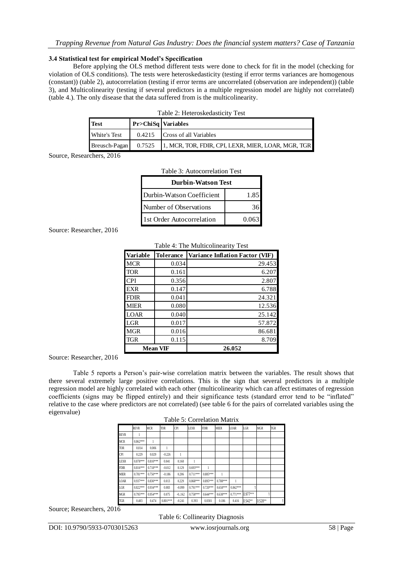#### **3.4 Statistical test for empirical Model's Specification**

Before applying the OLS method different tests were done to check for fit in the model (checking for violation of OLS conditions). The tests were heteroskedasticity (testing if error terms variances are homogenous (constant)) (table 2), autocorrelation (testing if error terms are uncorrelated (observation are independent)) (table 3), and Multicolinearity (testing if several predictors in a multiple regression model are highly not correlated) (table 4.). The only disease that the data suffered from is the multicolinearity.

| <b>Test</b>   | Pr>ChiSq   Variables |                                                    |  |  |  |  |
|---------------|----------------------|----------------------------------------------------|--|--|--|--|
| White's Test  |                      | 0.4215 Cross of all Variables                      |  |  |  |  |
| Breusch-Pagan | 0.7525               | 1, MCR, TOR, FDIR, CPI, LEXR, MIER, LOAR, MGR, TGR |  |  |  |  |

Source, Researchers, 2016

| Tanie 5: Autocorrelation Test      |  |  |  |  |  |  |
|------------------------------------|--|--|--|--|--|--|
| <b>Durbin-Watson Test</b>          |  |  |  |  |  |  |
| Durbin-Watson Coefficient<br>1.85  |  |  |  |  |  |  |
| Number of Observations             |  |  |  |  |  |  |
| 1st Order Autocorrelation<br>0.063 |  |  |  |  |  |  |

Table 3: Autocorrelation Test

# Source: Researcher, 2016

|             | Table 4: The Multicolinearity Test |                                 |  |  |  |  |  |
|-------------|------------------------------------|---------------------------------|--|--|--|--|--|
| Variable    | <b>Tolerance</b>                   | Variance Inflation Factor (VIF) |  |  |  |  |  |
| <b>MCR</b>  | 0.034                              | 29.453                          |  |  |  |  |  |
| <b>TOR</b>  | 0.161                              | 6.207                           |  |  |  |  |  |
| <b>CPI</b>  | 0.356                              | 2.807                           |  |  |  |  |  |
| <b>EXR</b>  | 0.147                              | 6.788                           |  |  |  |  |  |
| <b>FDIR</b> | 0.041                              | 24.321                          |  |  |  |  |  |
| <b>MIER</b> | 0.080                              | 12.536                          |  |  |  |  |  |
| <b>LOAR</b> | 0.040                              | 25.142                          |  |  |  |  |  |
| LGR         | 0.017                              | 57.872                          |  |  |  |  |  |
| <b>MGR</b>  | 0.016                              | 86.681                          |  |  |  |  |  |
| <b>TGR</b>  | 0.115                              | 8.709                           |  |  |  |  |  |
|             | <b>Mean VIF</b>                    | 26.052                          |  |  |  |  |  |

Source: Researcher, 2016

Table 5 reports a Person's pair-wise correlation matrix between the variables. The result shows that there several extremely large positive correlations. This is the sign that several predictors in a multiple regression model are highly correlated with each other (multicolinearity which can affect estimates of regression coefficients (signs may be flipped entirely) and their significance tests (standard error tend to be "inflated" relative to the case where predictors are not correlated) (see table 6 for the pairs of correlated variables using the eigenvalue)

|             | Table 5: Correlation Matrix |            |            |            |             |             |             |             |            |            |            |
|-------------|-----------------------------|------------|------------|------------|-------------|-------------|-------------|-------------|------------|------------|------------|
|             | <b>REVR</b>                 | <b>MCR</b> | <b>TOR</b> | <b>CPI</b> | <b>LEXR</b> | <b>FDIR</b> | <b>MIER</b> | <b>LOAR</b> | LGR        | <b>MGR</b> | <b>TGR</b> |
| <b>REVR</b> | 1                           |            |            |            |             |             |             |             |            |            |            |
| <b>MCR</b>  | $0.862***$                  |            |            |            |             |             |             |             |            |            |            |
| <b>TOR</b>  | 0.014                       | 0.006      |            |            |             |             |             |             |            |            |            |
| <b>CPI</b>  | 0.229                       | 0.029      | $-0.226$   |            |             |             |             |             |            |            |            |
| <b>LEXR</b> | $0.878***$                  | $0.810***$ | 0.041      | 0.168      |             |             |             |             |            |            |            |
| <b>FDIR</b> | $0.816***$                  | $0.718***$ | $-0.012$   | 0.129      | $0.693***$  | 1           |             |             |            |            |            |
| <b>MIER</b> | $0.781***$                  | $0.750***$ | $-0.186$   | 0.206      | $0.711***$  | 0.885***    | 1           |             |            |            |            |
| <b>LOAR</b> | 0.937***                    | $0.830***$ | 0.013      | 0.229      | $0.868***$  | 0.895***    | 0.788***    | 1           |            |            |            |
| LGR         | $0.822***$                  | $0.934***$ | 0.083      | $-0.099$   | $0.791***$  | $0.720***$  | $0.658***$  | $0.842***$  |            |            |            |
| <b>MGR</b>  | 0.795***                    | 0.954***   | 0.075      | $-0.162$   | $0.758***$  | $0.644***$  | $0.638***$  | $0.771***$  | $0.977***$ |            |            |
| <b>TGR</b>  | 0.403                       | 0.474      | $0.801***$ | $-0.241$   | 0.393       | 0.0301      | 0.186       | 0.416       | 0.542**    | 0.528**    |            |

Source; Researchers, 2016

Table 6: Collinearity Diagnosis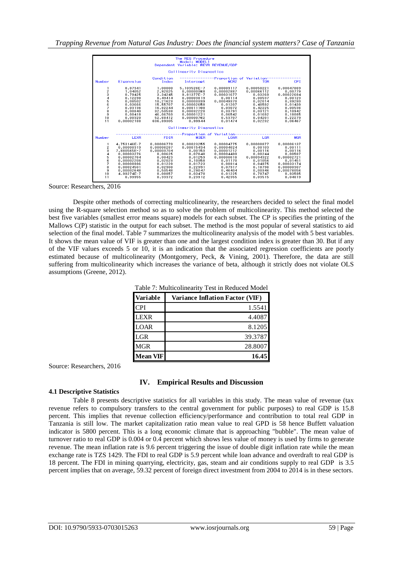|                                                       |                                                                                                                                                       |                                                                                                                                | The REG Procedure<br>Model: MODEL1<br>Dependent Variable: REVR REVENUE/GDP                                                                           |                                                                                                                                      |                                                                                                                             |                                                                                                                                      |
|-------------------------------------------------------|-------------------------------------------------------------------------------------------------------------------------------------------------------|--------------------------------------------------------------------------------------------------------------------------------|------------------------------------------------------------------------------------------------------------------------------------------------------|--------------------------------------------------------------------------------------------------------------------------------------|-----------------------------------------------------------------------------------------------------------------------------|--------------------------------------------------------------------------------------------------------------------------------------|
|                                                       |                                                                                                                                                       |                                                                                                                                | Collinearity Diagnostics                                                                                                                             |                                                                                                                                      |                                                                                                                             |                                                                                                                                      |
| Number                                                | Eigenvalue                                                                                                                                            | Condition<br>Index                                                                                                             | Intercept                                                                                                                                            | -Proportion of Variation-<br>MCR <sub>2</sub>                                                                                        | <b>TOR</b>                                                                                                                  | CPT                                                                                                                                  |
| 1<br>2<br>å<br>4<br>5<br>6<br>ż<br>8<br>9<br>10<br>11 | 8.87341<br>1.04052<br>0.79425<br>0.12298<br>0.08502<br>0.03666<br>0.03136<br>0.00840<br>0.00418<br>0.00320<br>0.00002188                              | 1.00000<br>2.92025<br>3.34245<br>8.49414<br>10.21623<br>15.55707<br>16.82244<br>32.50538<br>46,06760<br>52.68412<br>636.89305  | 5.103526E-7<br>0.00000368<br>9.81377E-7<br>0.00003819<br>0.00003339<br>0.00002658<br>0.00011108<br>0.00032220<br>0.00001221<br>0.00000762<br>0.99944 | 0.00009117<br>0.00002887<br>0.00031677<br>0.00114<br>0.00049370<br>0.01207<br>0.03072<br>0.33791<br>0.06542<br>0.53707<br>0.01474    | 0.00050221<br>0.00066112<br>0.03269<br>0.00537<br>0.02014<br>0.40592<br>0.42225<br>0.03121<br>0.01692<br>0.04201<br>0.02232 | 0.00047869<br>0.00779<br>0.00022684<br>0.00123<br>0.39280<br>0.01439<br>0.00536<br>0.10942<br>0.18085<br>0.22279<br>0.06467          |
|                                                       |                                                                                                                                                       |                                                                                                                                | Collinearity Diagnostics                                                                                                                             |                                                                                                                                      |                                                                                                                             |                                                                                                                                      |
| Number                                                | <b>LEXR</b>                                                                                                                                           | <b>FDIR</b>                                                                                                                    | -Proportion of Variation-<br><b>MIER</b>                                                                                                             | LOAR                                                                                                                                 | <b>LGR</b>                                                                                                                  | <b>MGR</b>                                                                                                                           |
| 1<br>2<br>з<br>4<br>567<br>8<br>9<br>10<br>11         | 4.753146E-7<br>0.00000319<br>7.880565E-7<br>0.00003276<br>0.00002764<br>0.00002208<br>0.00008996<br>0.00024501<br>0.00002648<br>4.99274F-7<br>0.99955 | 0.00006770<br>0.00006287<br>0.00003704<br>0.00625<br>0.00423<br>0.02023<br>0.01228<br>0.02908<br>0.50548<br>0.08857<br>0.33372 | 0.00023255<br>0.00015434<br>0.00153<br>0.07048<br>0.01259<br>0.10358<br>0.01723<br>0.22991<br>0.29047<br>0.03470<br>0.23912                          | 0.00004775<br>0.00004624<br>0.00001212<br>0.00004499<br>0.00000618<br>0.01170<br>0.00914<br>0.07917<br>0.46404<br>0.01225<br>0.42355 | 0.00008877<br>0.00103<br>0.00116<br>0.00244<br>0.00094322<br>0.01056<br>0.04975<br>0.18796<br>0.00346<br>0.70747<br>0.03515 | 0.00006137<br>0.00111<br>0.00116<br>0.00587<br>0.00002721<br>0.01451<br>0.00033174<br>0.00000307<br>0.00078056<br>0.93595<br>0.04019 |

Source: Researchers, 2016

Despite other methods of correcting multicolinearity, the researchers decided to select the final model using the R-square selection method so as to solve the problem of multicolinearity. This method selected the best five variables (smallest error means square) models for each subset. The CP is specifies the printing of the Mallows C(P) statistic in the output for each subset. The method is the most popular of several statistics to aid selection of the final model. Table 7 summarizes the multicolinearity analysis of the model with 5 best variables. It shows the mean value of VIF is greater than one and the largest condition index is greater than 30. But if any of the VIF values exceeds 5 or 10, it is an indication that the associated regression coefficients are poorly estimated because of multicolinearity (Montgomery, Peck, & Vining, 2001). Therefore, the data are still suffering from multicolinearity which increases the variance of beta, although it strictly does not violate OLS assumptions (Greene, 2012).

| <b>Variable</b> | <b>Variance Inflation Factor (VIF)</b> |  |  |  |  |  |
|-----------------|----------------------------------------|--|--|--|--|--|
| <b>CPI</b>      | 1.5541                                 |  |  |  |  |  |
| <b>LEXR</b>     | 4.4087                                 |  |  |  |  |  |
| <b>LOAR</b>     | 8.1205                                 |  |  |  |  |  |
| <b>LGR</b>      | 39.3787                                |  |  |  |  |  |
| <b>MGR</b>      | 28.8007                                |  |  |  |  |  |
| <b>Mean VIF</b> | 16.45                                  |  |  |  |  |  |

Table 7: Multicolinearity Test in Reduced Model

Source: Researchers, 2016

## **IV. Empirical Results and Discussion**

## **4.1 Descriptive Statistics**

Table 8 presents descriptive statistics for all variables in this study. The mean value of revenue (tax revenue refers to compulsory transfers to the central government for public purposes) to real GDP is 15.8 percent. This implies that revenue collection efficiency/performance and contribution to total real GDP in Tanzania is still low. The market capitalization ratio mean value to real GPD is 58 hence Buffett valuation indicator is 5800 percent. This is a long economic climate that is approaching "bubble". The mean value of turnover ratio to real GDP is 0.004 or 0.4 percent which shows less value of money is used by firms to generate revenue. The mean inflation rate is 9.6 percent triggering the issue of double digit inflation rate while the mean exchange rate is TZS 1429. The FDI to real GDP is 5.9 percent while loan advance and overdraft to real GDP is 18 percent. The FDI in mining quarrying, electricity, gas, steam and air conditions supply to real GDP is 3.5 percent implies that on average, 59.32 percent of foreign direct investment from 2004 to 2014 is in these sectors.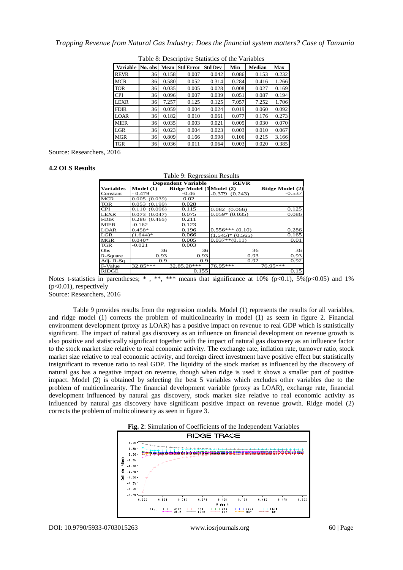| Variable    | No. obs | Mean  | <b>Std Error</b> | <b>Std Dev</b> | Min   | Median | Max   |
|-------------|---------|-------|------------------|----------------|-------|--------|-------|
| <b>REVR</b> | 36      | 0.158 | 0.007            | 0.042          | 0.086 | 0.153  | 0.232 |
| <b>MCR</b>  | 36      | 0.580 | 0.052            | 0.314          | 0.284 | 0.416  | 1.266 |
| <b>TOR</b>  | 36      | 0.035 | 0.005            | 0.028          | 0.008 | 0.027  | 0.169 |
| <b>CPI</b>  | 36      | 0.096 | 0.007            | 0.039          | 0.051 | 0.087  | 0.194 |
| <b>LEXR</b> | 36      | 7.257 | 0.125            | 0.125          | 7.057 | 7.252  | 1.706 |
| <b>FDIR</b> | 36      | 0.059 | 0.004            | 0.024          | 0.019 | 0.060  | 0.092 |
| <b>LOAR</b> | 36      | 0.182 | 0.010            | 0.061          | 0.077 | 0.176  | 0.273 |
| <b>MIER</b> | 36      | 0.035 | 0.003            | 0.021          | 0.005 | 0.030  | 0.070 |
| LGR         | 36      | 0.023 | 0.004            | 0.023          | 0.003 | 0.010  | 0.067 |
| <b>MGR</b>  | 36      | 0.809 | 0.166            | 0.998          | 0.106 | 0.215  | 3.166 |
| <b>TGR</b>  | 36      | 0.036 | 0.011            | 0.064          | 0.003 | 0.020  | 0.385 |

Table 8: Descriptive Statistics of the Variables

Source: Researchers, 2016

#### **4.2 OLS Results**

| Table 9: Regression Results              |                  |                          |                     |                 |  |  |  |
|------------------------------------------|------------------|--------------------------|---------------------|-----------------|--|--|--|
| <b>REVR</b><br><b>Dependent Variable</b> |                  |                          |                     |                 |  |  |  |
| Variables                                | Model $(1)$      | Ridge Model (1 Model (2) |                     | Ridge Model (2) |  |  |  |
| Constant                                 | $-0.479$         | $-0.46$                  | (0.243)<br>$-0.379$ | $-0.537$        |  |  |  |
| <b>MCR</b>                               | (0.039)<br>0.005 | 0.02                     |                     |                 |  |  |  |
| <b>TOR</b>                               | (0.199)<br>0.053 | 0.028                    |                     |                 |  |  |  |
| <b>CPI</b>                               | (0.096)<br>0.110 | 0.115                    | $0.082$ $(0.066)$   | 0.125           |  |  |  |
| <b>LEXR</b>                              | (0.047)<br>0.073 | 0.075                    | $0.059*$ (0.035)    | 0.086           |  |  |  |
| <b>FDIR</b>                              | 0.286(0.465)     | 0.211                    |                     |                 |  |  |  |
| <b>MIER</b>                              | $-0.162$         | 0.123                    |                     |                 |  |  |  |
| <b>LOAR</b>                              | $0.458*$         | 0.196                    | $0.556***(0.10)$    | 0.286           |  |  |  |
| LGR                                      | $(1.644)*$       | 0.066                    | $(1.545)*(0.565)$   | 0.165           |  |  |  |
| <b>MGR</b>                               | $0.040*$         | 0.005                    | $0.037**$ (0.11)    | 0.01            |  |  |  |
| <b>TGR</b>                               | -0.021           | 0.003                    |                     |                 |  |  |  |
| Obs                                      | 36               | 36                       | 36                  | 36              |  |  |  |
| R-Square                                 | 0.93             | 0.93                     | 0.93                | 0.93            |  |  |  |
| Adj-R-Sq                                 | 0.9              | 0.9                      | 0.92                | 0.92            |  |  |  |
| F-Value                                  | 32.85***         | 32.85.20***              | 76.95***            | $76.95***$      |  |  |  |
| <b>RIDGE</b>                             |                  | 0.155                    |                     | 0.15            |  |  |  |

Notes t-statistics in parentheses;  $*$ ,  $**$ ,  $***$  means that significance at 10% (p<0.1),  $5\%$ (p<0.05) and 1%  $(p<0.01)$ , respectively

Source: Researchers, 2016

Table 9 provides results from the regression models. Model (1) represents the results for all variables, and ridge model (1) corrects the problem of multicolinearity in model (1) as seem in figure 2. Financial environment development (proxy as LOAR) has a positive impact on revenue to real GDP which is statistically significant. The impact of natural gas discovery as an influence on financial development on revenue growth is also positive and statistically significant together with the impact of natural gas discovery as an influence factor to the stock market size relative to real economic activity. The exchange rate, inflation rate, turnover ratio, stock market size relative to real economic activity, and foreign direct investment have positive effect but statistically insignificant to revenue ratio to real GDP. The liquidity of the stock market as influenced by the discovery of natural gas has a negative impact on revenue, though when ridge is used it shows a smaller part of positive impact. Model (2) is obtained by selecting the best 5 variables which excludes other variables due to the problem of multicolinearity. The financial development variable (proxy as LOAR), exchange rate, financial development influenced by natural gas discovery, stock market size relative to real economic activity as influenced by natural gas discovery have significant positive impact on revenue growth. Ridge model (2) corrects the problem of multicolinearity as seen in figure 3.

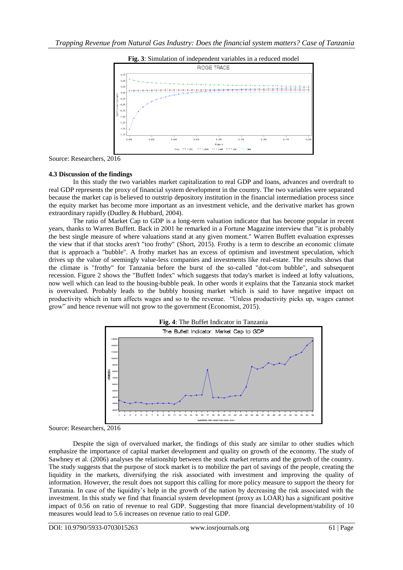



Source: Researchers, 2016

#### **4.3 Discussion of the findings**

In this study the two variables market capitalization to real GDP and loans, advances and overdraft to real GDP represents the proxy of financial system development in the country. The two variables were separated because the market cap is believed to outstrip depository institution in the financial intermediation process since the equity market has become more important as an investment vehicle, and the derivative market has grown extraordinary rapidly (Dudley & Hubbard, 2004).

The ratio of Market Cap to GDP is a long-term valuation indicator that has become popular in recent years, thanks to Warren Buffett. Back in 2001 he remarked in a Fortune Magazine interview that "it is probably the best single measure of where valuations stand at any given moment." Warren Buffett evaluation expresses the view that if that stocks aren't "too frothy" (Short, 2015). Frothy is a term to describe an economic climate that is approach a "bubble". A frothy market has an excess of optimism and investment speculation, which drives up the value of seemingly value-less companies and investments like real-estate. The results shows that the climate is "frothy" for Tanzania before the burst of the so-called "dot-com bubble", and subsequent recession. Figure 2 shows the "Buffett Index" which suggests that today's market is indeed at lofty valuations, now well which can lead to the housing-bubble peak. In other words it explains that the Tanzania stock market is overvalued. Probably leads to the bubbly housing market which is said to have negative impact on productivity which in turn affects wages and so to the revenue. "Unless productivity picks up, wages cannot grow" and hence revenue will not grow to the government (Economist, 2015).



Source: Researchers, 2016

Despite the sign of overvalued market, the findings of this study are similar to other studies which emphasize the importance of capital market development and quality on growth of the economy. The study of Sawhney et al. (2006) analyses the relationship between the stock market returns and the growth of the country. The study suggests that the purpose of stock market is to mobilize the part of savings of the people, creating the liquidity in the markets, diversifying the risk associated with investment and improving the quality of information. However, the result does not support this calling for more policy measure to support the theory for Tanzania. In case of the liquidity's help in the growth of the nation by decreasing the risk associated with the investment. In this study we find that financial system development (proxy as LOAR) has a significant positive impact of 0.56 on ratio of revenue to real GDP. Suggesting that more financial development/stability of 10 measures would lead to 5.6 increases on revenue ratio to real GDP.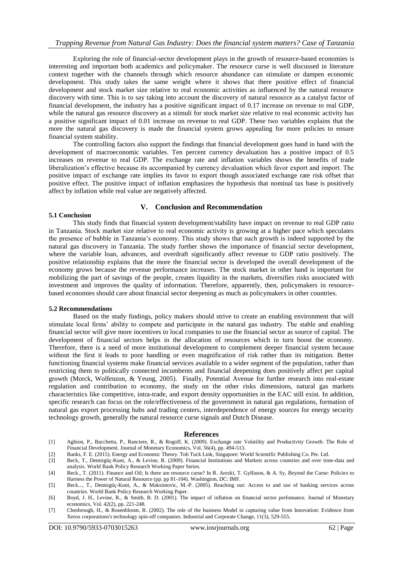Exploring the role of financial-sector development plays in the growth of resource-based economies is interesting and important both academics and policymaker. The resource curse is well discussed in literature context together with the channels through which resource abundance can stimulate or dampen economic development. This study takes the same weight where it shows that there positive effect of financial development and stock market size relative to real economic activities as influenced by the natural resource discovery with time. This is to say taking into account the discovery of natural resource as a catalyst factor of financial development, the industry has a positive significant impact of 0.17 increase on revenue to real GDP, while the natural gas resource discovery as a stimuli for stock market size relative to real economic activity has a positive significant impact of 0.01 increase on revenue to real GDP. These two variables explains that the more the natural gas discovery is made the financial system grows appealing for more policies to ensure financial system stability.

The controlling factors also support the findings that financial development goes hand in hand with the development of macroeconomic variables. Ten percent currency devaluation has a positive impact of 0.5 increases on revenue to real GDP. The exchange rate and inflation variables shows the benefits of trade liberalization's effective because its accompanied by currency devaluation which favor export and import. The positive impact of exchange rate implies its favor to export though associated exchange rate risk offset that positive effect. The positive impact of inflation emphasizes the hypothesis that nominal tax base is positively affect by inflation while real value are negatively affected.

#### **5.1 Conclusion**

#### **V. Conclusion and Recommendation**

This study finds that financial system development/stability have impact on revenue to real GDP ratio in Tanzania. Stock market size relative to real economic activity is growing at a higher pace which speculates the presence of bubble in Tanzania's economy. This study shows that such growth is indeed supported by the natural gas discovery in Tanzania. The study further shows the importance of financial sector development, where the variable loan, advances, and overdraft significantly affect revenue to GDP ratio positively. The positive relationship explains that the more the financial sector is developed the overall development of the economy grows because the revenue performance increases. The stock market in other hand is important for mobilizing the part of savings of the people, creates liquidity in the markets, diversifies risks associated with investment and improves the quality of information. Therefore, apparently, then, policymakers in resourcebased economies should care about financial sector deepening as much as policymakers in other countries.

#### **5.2 Recommendations**

Based on the study findings, policy makers should strive to create an enabling environment that will stimulate local firms' ability to compete and participate in the natural gas industry. The stable and enabling financial sector will give more incentives to local companies to use the financial sector as source of capital. The development of financial sectors helps in the allocation of resources which in turn boost the economy. Therefore, there is a need of more institutional development to complement deeper financial system because without the first it leads to poor handling or even magnification of risk rather than its mitigation. Better functioning financial systems make financial services available to a wider segment of the population, rather than restricting them to politically connected incumbents and financial deepening does positively affect per capital growth (Morck, Wolfenzon, & Yeung, 2005). Finally, Potential Avenue for further research into real-estate regulation and contribution to economy, the study on the other risks dimensions, natural gas markets characteristics like competitive, intra-trade, and export density opportunities in the EAC still exist. In addition, specific research can focus on the role/effectiveness of the government in natural gas regulations, formation of natural gas export processing hubs and trading centers, interdependence of energy sources for energy security technology growth, generally the natural resource curse signals and Dutch Disease.

#### **References**

- [1] Aghion, P., Bacchetta, P., Ranciere, R., & Rogoff, K. (2009). Exchange rate Volatility and Productivity Growth: The Role of Financial Development. Journal of Monetary Economics, Vol. 56(4), pp. 494-513.
- [2] Banks, F. E. (2015). Energy and Economic Theory. Toh Tuck Link, Singapore: World Scientific Publishing Co. Pte. Ltd.
- [3] Beck, T., Demirgüç-Kunt, A., & Levine, R. (2009). Financial Institutions and Markets across countries and over time-data and analysis. World Bank Policy Research Working Paper Series.
- [4] Beck., T. (2011). Finance and Oil; Is there are resource curse? In R. Arezki, T. Gylfason, & A. Sy, Beyond the Curse: Policies to Harness the Power of Natural Resource (pp. pp 81-104). Washington, DC: IMF.
- [5] Beck..., T., Demirgüç-Kunt, A., & Maksimovic, M.-P. (2005). Reaching out: Access to and use of banking services across countries. World Bank Policy Research Working Paper.
- [6] Boyd, J. H., Levine, R., & Smith, B. D. (2001). The impact of inflation on financial sector perfomance. Journal of Monetary economics, Vol. 42(2), pp. 221-248.
- [7] Chesbrough, H., & Rosenbloom, R. (2002). The role of the business Model in capturing value from Innovation: Evidence from Xerox corporations's technology spin-off companies. Industrial and Corporate Change, 11(3), 529-555.